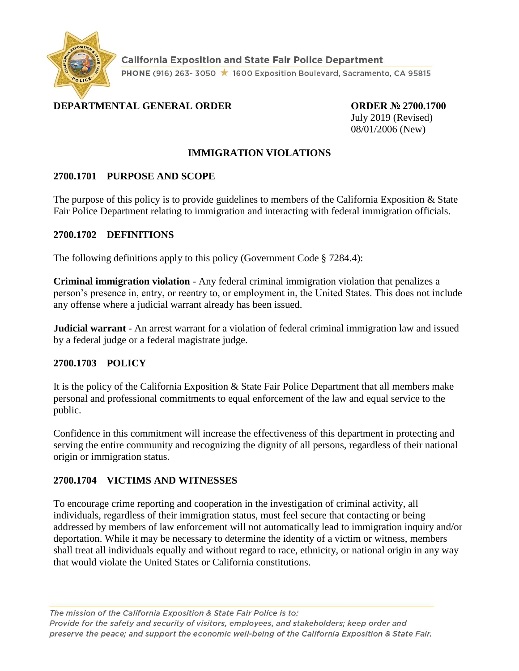

**California Exposition and State Fair Police Department** PHONE (916) 263-3050 ★ 1600 Exposition Boulevard, Sacramento, CA 95815

## **DEPARTMENTAL GENERAL ORDER ORDER № 2700.1700**

July 2019 (Revised) 08/01/2006 (New)

#### **IMMIGRATION VIOLATIONS**

#### **2700.1701 PURPOSE AND SCOPE**

The purpose of this policy is to provide guidelines to members of the California Exposition  $\&$  State Fair Police Department relating to immigration and interacting with federal immigration officials.

#### **2700.1702 DEFINITIONS**

The following definitions apply to this policy (Government Code § 7284.4):

**Criminal immigration violation** - Any federal criminal immigration violation that penalizes a person's presence in, entry, or reentry to, or employment in, the United States. This does not include any offense where a judicial warrant already has been issued.

**Judicial warrant** - An arrest warrant for a violation of federal criminal immigration law and issued by a federal judge or a federal magistrate judge.

## **2700.1703 POLICY**

It is the policy of the California Exposition & State Fair Police Department that all members make personal and professional commitments to equal enforcement of the law and equal service to the public.

Confidence in this commitment will increase the effectiveness of this department in protecting and serving the entire community and recognizing the dignity of all persons, regardless of their national origin or immigration status.

#### **2700.1704 VICTIMS AND WITNESSES**

To encourage crime reporting and cooperation in the investigation of criminal activity, all individuals, regardless of their immigration status, must feel secure that contacting or being addressed by members of law enforcement will not automatically lead to immigration inquiry and/or deportation. While it may be necessary to determine the identity of a victim or witness, members shall treat all individuals equally and without regard to race, ethnicity, or national origin in any way that would violate the United States or California constitutions.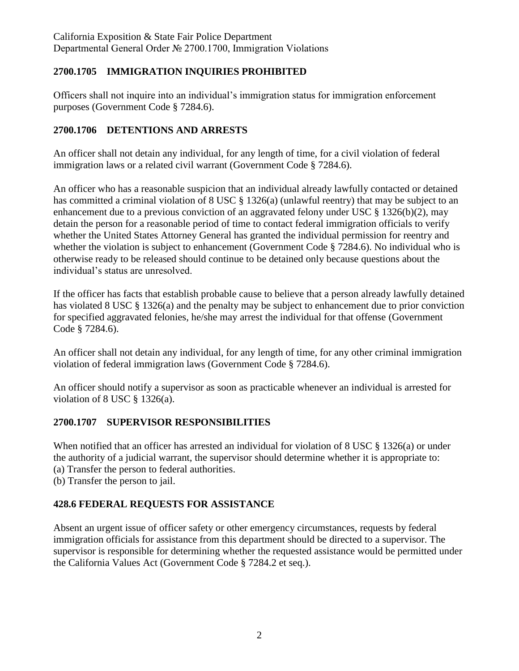## **2700.1705 IMMIGRATION INQUIRIES PROHIBITED**

Officers shall not inquire into an individual's immigration status for immigration enforcement purposes (Government Code § 7284.6).

## **2700.1706 DETENTIONS AND ARRESTS**

An officer shall not detain any individual, for any length of time, for a civil violation of federal immigration laws or a related civil warrant (Government Code § 7284.6).

An officer who has a reasonable suspicion that an individual already lawfully contacted or detained has committed a criminal violation of 8 USC § 1326(a) (unlawful reentry) that may be subject to an enhancement due to a previous conviction of an aggravated felony under USC § 1326(b)(2), may detain the person for a reasonable period of time to contact federal immigration officials to verify whether the United States Attorney General has granted the individual permission for reentry and whether the violation is subject to enhancement (Government Code § 7284.6). No individual who is otherwise ready to be released should continue to be detained only because questions about the individual's status are unresolved.

If the officer has facts that establish probable cause to believe that a person already lawfully detained has violated 8 USC § 1326(a) and the penalty may be subject to enhancement due to prior conviction for specified aggravated felonies, he/she may arrest the individual for that offense (Government Code § 7284.6).

An officer shall not detain any individual, for any length of time, for any other criminal immigration violation of federal immigration laws (Government Code § 7284.6).

An officer should notify a supervisor as soon as practicable whenever an individual is arrested for violation of 8 USC  $\S$  1326(a).

## **2700.1707 SUPERVISOR RESPONSIBILITIES**

When notified that an officer has arrested an individual for violation of 8 USC § 1326(a) or under the authority of a judicial warrant, the supervisor should determine whether it is appropriate to:

- (a) Transfer the person to federal authorities.
- (b) Transfer the person to jail.

## **428.6 FEDERAL REQUESTS FOR ASSISTANCE**

Absent an urgent issue of officer safety or other emergency circumstances, requests by federal immigration officials for assistance from this department should be directed to a supervisor. The supervisor is responsible for determining whether the requested assistance would be permitted under the California Values Act (Government Code § 7284.2 et seq.)..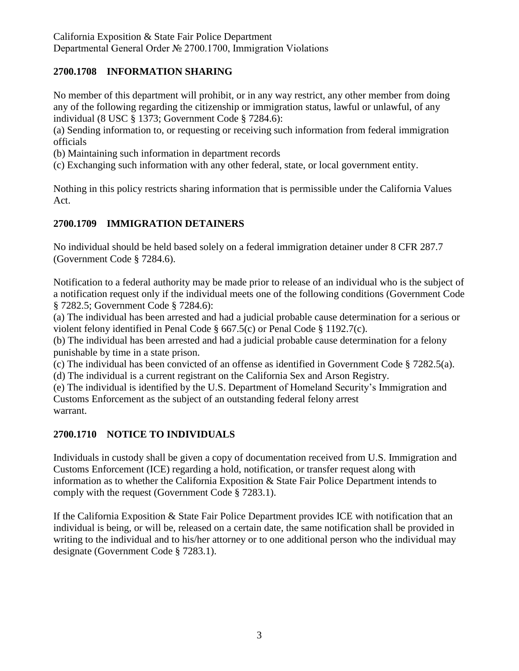## **2700.1708 INFORMATION SHARING**

No member of this department will prohibit, or in any way restrict, any other member from doing any of the following regarding the citizenship or immigration status, lawful or unlawful, of any individual (8 USC § 1373; Government Code § 7284.6):

(a) Sending information to, or requesting or receiving such information from federal immigration officials

(b) Maintaining such information in department records

(c) Exchanging such information with any other federal, state, or local government entity.

Nothing in this policy restricts sharing information that is permissible under the California Values Act.

## **2700.1709 IMMIGRATION DETAINERS**

No individual should be held based solely on a federal immigration detainer under 8 CFR 287.7 (Government Code § 7284.6).

Notification to a federal authority may be made prior to release of an individual who is the subject of a notification request only if the individual meets one of the following conditions (Government Code § 7282.5; Government Code § 7284.6):

(a) The individual has been arrested and had a judicial probable cause determination for a serious or violent felony identified in Penal Code § 667.5(c) or Penal Code § 1192.7(c).

(b) The individual has been arrested and had a judicial probable cause determination for a felony punishable by time in a state prison.

(c) The individual has been convicted of an offense as identified in Government Code § 7282.5(a).

(d) The individual is a current registrant on the California Sex and Arson Registry.

(e) The individual is identified by the U.S. Department of Homeland Security's Immigration and Customs Enforcement as the subject of an outstanding federal felony arrest warrant.

## **2700.1710 NOTICE TO INDIVIDUALS**

Individuals in custody shall be given a copy of documentation received from U.S. Immigration and Customs Enforcement (ICE) regarding a hold, notification, or transfer request along with information as to whether the California Exposition & State Fair Police Department intends to comply with the request (Government Code § 7283.1).

If the California Exposition & State Fair Police Department provides ICE with notification that an individual is being, or will be, released on a certain date, the same notification shall be provided in writing to the individual and to his/her attorney or to one additional person who the individual may designate (Government Code § 7283.1).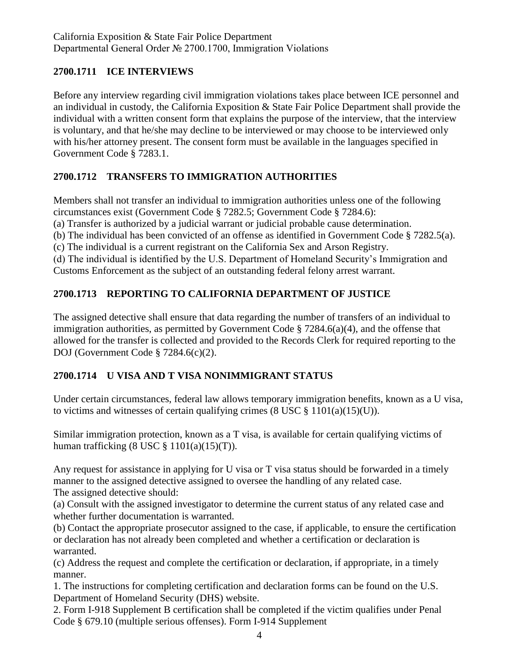## **2700.1711 ICE INTERVIEWS**

Before any interview regarding civil immigration violations takes place between ICE personnel and an individual in custody, the California Exposition & State Fair Police Department shall provide the individual with a written consent form that explains the purpose of the interview, that the interview is voluntary, and that he/she may decline to be interviewed or may choose to be interviewed only with his/her attorney present. The consent form must be available in the languages specified in Government Code § 7283.1.

# **2700.1712 TRANSFERS TO IMMIGRATION AUTHORITIES**

Members shall not transfer an individual to immigration authorities unless one of the following circumstances exist (Government Code § 7282.5; Government Code § 7284.6): (a) Transfer is authorized by a judicial warrant or judicial probable cause determination. (b) The individual has been convicted of an offense as identified in Government Code § 7282.5(a).

(c) The individual is a current registrant on the California Sex and Arson Registry.

(d) The individual is identified by the U.S. Department of Homeland Security's Immigration and Customs Enforcement as the subject of an outstanding federal felony arrest warrant.

# **2700.1713 REPORTING TO CALIFORNIA DEPARTMENT OF JUSTICE**

The assigned detective shall ensure that data regarding the number of transfers of an individual to immigration authorities, as permitted by Government Code  $\S 7284.6(a)(4)$ , and the offense that allowed for the transfer is collected and provided to the Records Clerk for required reporting to the DOJ (Government Code § 7284.6(c)(2).

# **2700.1714 U VISA AND T VISA NONIMMIGRANT STATUS**

Under certain circumstances, federal law allows temporary immigration benefits, known as a U visa, to victims and witnesses of certain qualifying crimes  $(8 \text{ USC} \& 1101(a)(15)(U)).$ 

Similar immigration protection, known as a T visa, is available for certain qualifying victims of human trafficking  $(8 \text{ USC} \text{ } \$ 1101(a)(15)(T))$ .

Any request for assistance in applying for U visa or T visa status should be forwarded in a timely manner to the assigned detective assigned to oversee the handling of any related case. The assigned detective should:

(a) Consult with the assigned investigator to determine the current status of any related case and whether further documentation is warranted.

(b) Contact the appropriate prosecutor assigned to the case, if applicable, to ensure the certification or declaration has not already been completed and whether a certification or declaration is warranted.

(c) Address the request and complete the certification or declaration, if appropriate, in a timely manner.

1. The instructions for completing certification and declaration forms can be found on the U.S. Department of Homeland Security (DHS) website.

2. Form I-918 Supplement B certification shall be completed if the victim qualifies under Penal Code § 679.10 (multiple serious offenses). Form I-914 Supplement